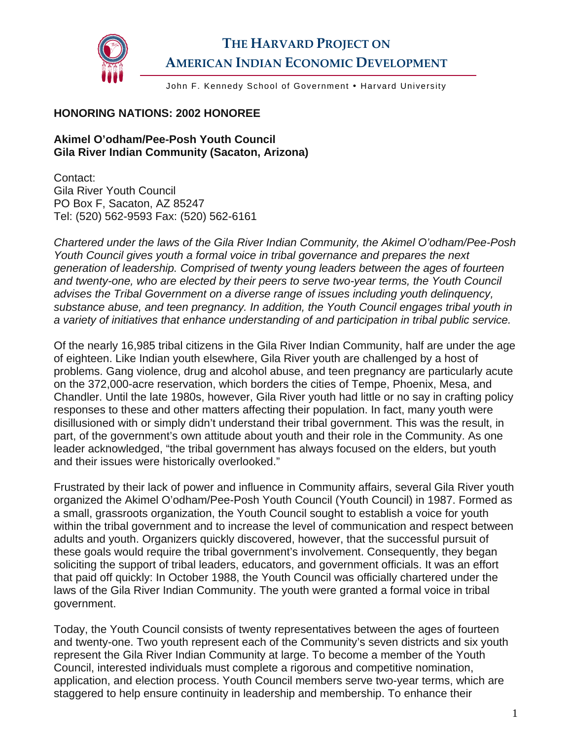

## **THE HARVARD PROJECT ON AMERICAN INDIAN ECONOMIC DEVELOPMENT**

John F. Kennedy School of Government . Harvard University

## **HONORING NATIONS: 2002 HONOREE**

## **Akimel O'odham/Pee-Posh Youth Council Gila River Indian Community (Sacaton, Arizona)**

Contact: Gila River Youth Council PO Box F, Sacaton, AZ 85247 Tel: (520) 562-9593 Fax: (520) 562-6161

*Chartered under the laws of the Gila River Indian Community, the Akimel O'odham/Pee-Posh Youth Council gives youth a formal voice in tribal governance and prepares the next generation of leadership. Comprised of twenty young leaders between the ages of fourteen and twenty-one, who are elected by their peers to serve two-year terms, the Youth Council advises the Tribal Government on a diverse range of issues including youth delinquency, substance abuse, and teen pregnancy. In addition, the Youth Council engages tribal youth in a variety of initiatives that enhance understanding of and participation in tribal public service.* 

Of the nearly 16,985 tribal citizens in the Gila River Indian Community, half are under the age of eighteen. Like Indian youth elsewhere, Gila River youth are challenged by a host of problems. Gang violence, drug and alcohol abuse, and teen pregnancy are particularly acute on the 372,000-acre reservation, which borders the cities of Tempe, Phoenix, Mesa, and Chandler. Until the late 1980s, however, Gila River youth had little or no say in crafting policy responses to these and other matters affecting their population. In fact, many youth were disillusioned with or simply didn't understand their tribal government. This was the result, in part, of the government's own attitude about youth and their role in the Community. As one leader acknowledged, "the tribal government has always focused on the elders, but youth and their issues were historically overlooked."

Frustrated by their lack of power and influence in Community affairs, several Gila River youth organized the Akimel O'odham/Pee-Posh Youth Council (Youth Council) in 1987. Formed as a small, grassroots organization, the Youth Council sought to establish a voice for youth within the tribal government and to increase the level of communication and respect between adults and youth. Organizers quickly discovered, however, that the successful pursuit of these goals would require the tribal government's involvement. Consequently, they began soliciting the support of tribal leaders, educators, and government officials. It was an effort that paid off quickly: In October 1988, the Youth Council was officially chartered under the laws of the Gila River Indian Community. The youth were granted a formal voice in tribal government.

Today, the Youth Council consists of twenty representatives between the ages of fourteen and twenty-one. Two youth represent each of the Community's seven districts and six youth represent the Gila River Indian Community at large. To become a member of the Youth Council, interested individuals must complete a rigorous and competitive nomination, application, and election process. Youth Council members serve two-year terms, which are staggered to help ensure continuity in leadership and membership. To enhance their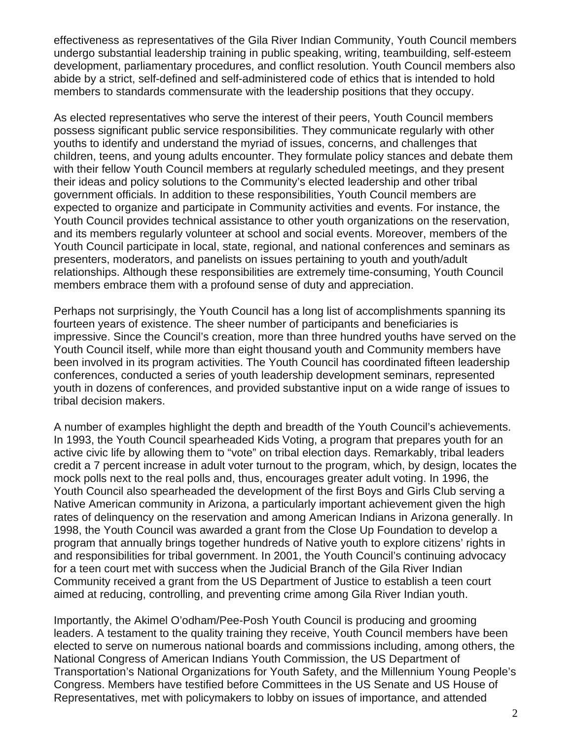effectiveness as representatives of the Gila River Indian Community, Youth Council members undergo substantial leadership training in public speaking, writing, teambuilding, self-esteem development, parliamentary procedures, and conflict resolution. Youth Council members also abide by a strict, self-defined and self-administered code of ethics that is intended to hold members to standards commensurate with the leadership positions that they occupy.

As elected representatives who serve the interest of their peers, Youth Council members possess significant public service responsibilities. They communicate regularly with other youths to identify and understand the myriad of issues, concerns, and challenges that children, teens, and young adults encounter. They formulate policy stances and debate them with their fellow Youth Council members at regularly scheduled meetings, and they present their ideas and policy solutions to the Community's elected leadership and other tribal government officials. In addition to these responsibilities, Youth Council members are expected to organize and participate in Community activities and events. For instance, the Youth Council provides technical assistance to other youth organizations on the reservation, and its members regularly volunteer at school and social events. Moreover, members of the Youth Council participate in local, state, regional, and national conferences and seminars as presenters, moderators, and panelists on issues pertaining to youth and youth/adult relationships. Although these responsibilities are extremely time-consuming, Youth Council members embrace them with a profound sense of duty and appreciation.

Perhaps not surprisingly, the Youth Council has a long list of accomplishments spanning its fourteen years of existence. The sheer number of participants and beneficiaries is impressive. Since the Council's creation, more than three hundred youths have served on the Youth Council itself, while more than eight thousand youth and Community members have been involved in its program activities. The Youth Council has coordinated fifteen leadership conferences, conducted a series of youth leadership development seminars, represented youth in dozens of conferences, and provided substantive input on a wide range of issues to tribal decision makers.

A number of examples highlight the depth and breadth of the Youth Council's achievements. In 1993, the Youth Council spearheaded Kids Voting, a program that prepares youth for an active civic life by allowing them to "vote" on tribal election days. Remarkably, tribal leaders credit a 7 percent increase in adult voter turnout to the program, which, by design, locates the mock polls next to the real polls and, thus, encourages greater adult voting. In 1996, the Youth Council also spearheaded the development of the first Boys and Girls Club serving a Native American community in Arizona, a particularly important achievement given the high rates of delinquency on the reservation and among American Indians in Arizona generally. In 1998, the Youth Council was awarded a grant from the Close Up Foundation to develop a program that annually brings together hundreds of Native youth to explore citizens' rights in and responsibilities for tribal government. In 2001, the Youth Council's continuing advocacy for a teen court met with success when the Judicial Branch of the Gila River Indian Community received a grant from the US Department of Justice to establish a teen court aimed at reducing, controlling, and preventing crime among Gila River Indian youth.

Importantly, the Akimel O'odham/Pee-Posh Youth Council is producing and grooming leaders. A testament to the quality training they receive, Youth Council members have been elected to serve on numerous national boards and commissions including, among others, the National Congress of American Indians Youth Commission, the US Department of Transportation's National Organizations for Youth Safety, and the Millennium Young People's Congress. Members have testified before Committees in the US Senate and US House of Representatives, met with policymakers to lobby on issues of importance, and attended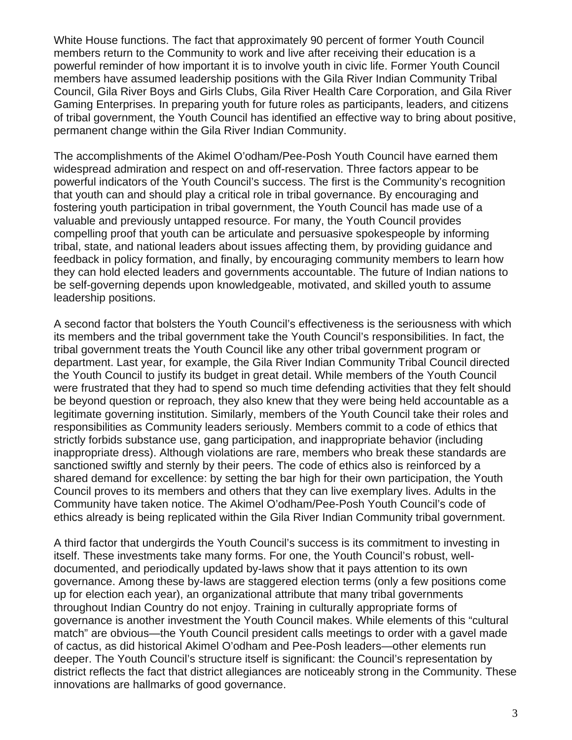White House functions. The fact that approximately 90 percent of former Youth Council members return to the Community to work and live after receiving their education is a powerful reminder of how important it is to involve youth in civic life. Former Youth Council members have assumed leadership positions with the Gila River Indian Community Tribal Council, Gila River Boys and Girls Clubs, Gila River Health Care Corporation, and Gila River Gaming Enterprises. In preparing youth for future roles as participants, leaders, and citizens of tribal government, the Youth Council has identified an effective way to bring about positive, permanent change within the Gila River Indian Community.

The accomplishments of the Akimel O'odham/Pee-Posh Youth Council have earned them widespread admiration and respect on and off-reservation. Three factors appear to be powerful indicators of the Youth Council's success. The first is the Community's recognition that youth can and should play a critical role in tribal governance. By encouraging and fostering youth participation in tribal government, the Youth Council has made use of a valuable and previously untapped resource. For many, the Youth Council provides compelling proof that youth can be articulate and persuasive spokespeople by informing tribal, state, and national leaders about issues affecting them, by providing guidance and feedback in policy formation, and finally, by encouraging community members to learn how they can hold elected leaders and governments accountable. The future of Indian nations to be self-governing depends upon knowledgeable, motivated, and skilled youth to assume leadership positions.

A second factor that bolsters the Youth Council's effectiveness is the seriousness with which its members and the tribal government take the Youth Council's responsibilities. In fact, the tribal government treats the Youth Council like any other tribal government program or department. Last year, for example, the Gila River Indian Community Tribal Council directed the Youth Council to justify its budget in great detail. While members of the Youth Council were frustrated that they had to spend so much time defending activities that they felt should be beyond question or reproach, they also knew that they were being held accountable as a legitimate governing institution. Similarly, members of the Youth Council take their roles and responsibilities as Community leaders seriously. Members commit to a code of ethics that strictly forbids substance use, gang participation, and inappropriate behavior (including inappropriate dress). Although violations are rare, members who break these standards are sanctioned swiftly and sternly by their peers. The code of ethics also is reinforced by a shared demand for excellence: by setting the bar high for their own participation, the Youth Council proves to its members and others that they can live exemplary lives. Adults in the Community have taken notice. The Akimel O'odham/Pee-Posh Youth Council's code of ethics already is being replicated within the Gila River Indian Community tribal government.

A third factor that undergirds the Youth Council's success is its commitment to investing in itself. These investments take many forms. For one, the Youth Council's robust, welldocumented, and periodically updated by-laws show that it pays attention to its own governance. Among these by-laws are staggered election terms (only a few positions come up for election each year), an organizational attribute that many tribal governments throughout Indian Country do not enjoy. Training in culturally appropriate forms of governance is another investment the Youth Council makes. While elements of this "cultural match" are obvious—the Youth Council president calls meetings to order with a gavel made of cactus, as did historical Akimel O'odham and Pee-Posh leaders—other elements run deeper. The Youth Council's structure itself is significant: the Council's representation by district reflects the fact that district allegiances are noticeably strong in the Community. These innovations are hallmarks of good governance.